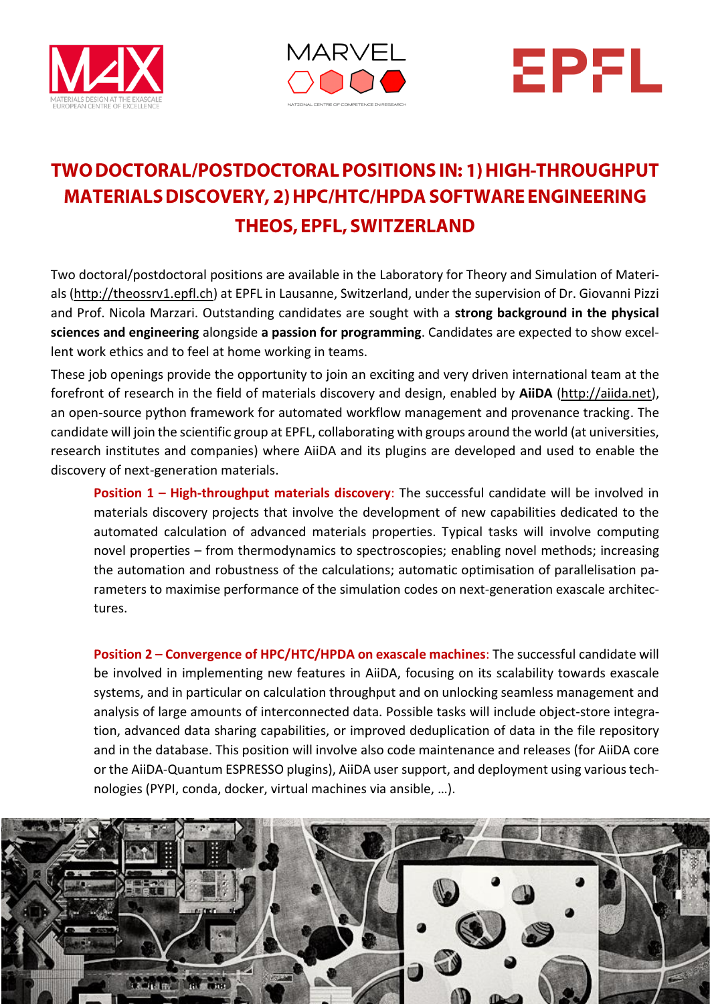





# TWO DOCTORAL/POSTDOCTORAL POSITIONS IN: 1) HIGH-THROUGHPUT **MATERIALS DISCOVERY, 2) HPC/HTC/HPDA SOFTWARE ENGINEERING THEOS, EPFL, SWITZERLAND**

Two doctoral/postdoctoral positions are available in the Laboratory for Theory and Simulation of Materials [\(http://theossrv1.epfl.ch\)](http://theossrv1.epfl.ch/) at EPFL in Lausanne, Switzerland, under the supervision of Dr. Giovanni Pizzi and Prof. Nicola Marzari. Outstanding candidates are sought with a **strong background in the physical sciences and engineering** alongside **a passion for programming**. Candidates are expected to show excellent work ethics and to feel at home working in teams.

These job openings provide the opportunity to join an exciting and very driven international team at the forefront of research in the field of materials discovery and design, enabled by **AiiDA** [\(http://aiida.net\)](http://aiida.net/), an open-source python framework for automated workflow management and provenance tracking. The candidate will join the scientific group at EPFL, collaborating with groups around the world (at universities, research institutes and companies) where AiiDA and its plugins are developed and used to enable the discovery of next-generation materials.

**Position 1 – High-throughput materials discovery:** The successful candidate will be involved in materials discovery projects that involve the development of new capabilities dedicated to the automated calculation of advanced materials properties. Typical tasks will involve computing novel properties – from thermodynamics to spectroscopies; enabling novel methods; increasing the automation and robustness of the calculations; automatic optimisation of parallelisation parameters to maximise performance of the simulation codes on next-generation exascale architectures.

**Position 2 – Convergence of HPC/HTC/HPDA on exascale machines**: The successful candidate will be involved in implementing new features in AiiDA, focusing on its scalability towards exascale systems, and in particular on calculation throughput and on unlocking seamless management and analysis of large amounts of interconnected data. Possible tasks will include object-store integration, advanced data sharing capabilities, or improved deduplication of data in the file repository and in the database. This position will involve also code maintenance and releases (for AiiDA core or the AiiDA-Quantum ESPRESSO plugins), AiiDA user support, and deployment using various technologies (PYPI, conda, docker, virtual machines via ansible, …).

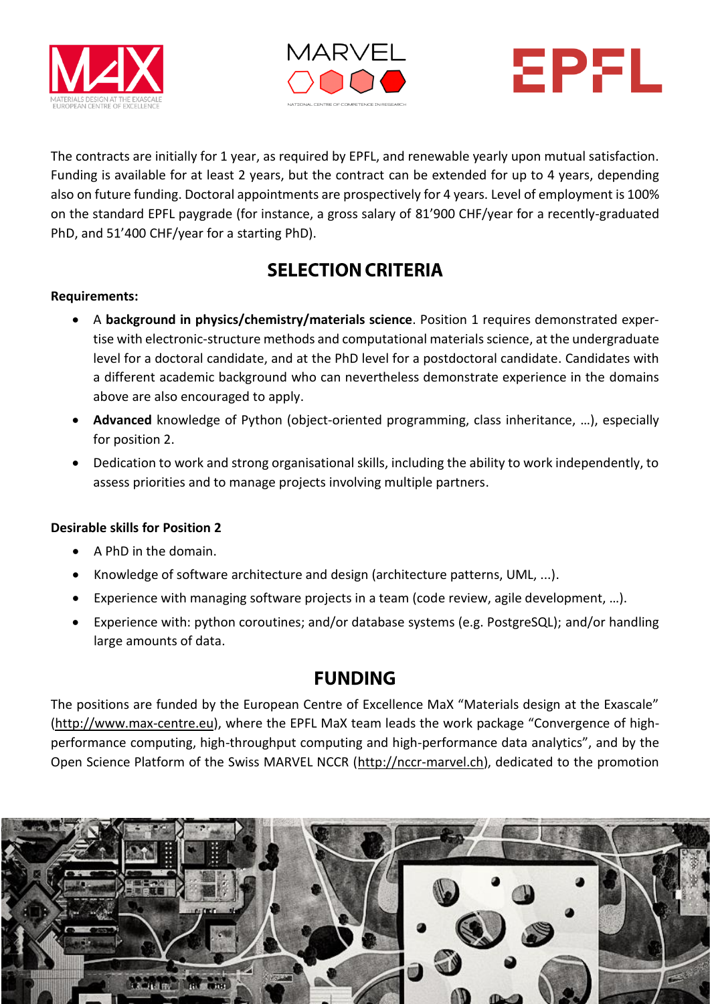





The contracts are initially for 1 year, as required by EPFL, and renewable yearly upon mutual satisfaction. Funding is available for at least 2 years, but the contract can be extended for up to 4 years, depending also on future funding. Doctoral appointments are prospectively for 4 years. Level of employment is 100% on the standard EPFL paygrade (for instance, a gross salary of 81'900 CHF/year for a recently-graduated PhD, and 51'400 CHF/year for a starting PhD).

## **SELECTION CRITERIA**

#### **Requirements:**

- A **background in physics/chemistry/materials science**. Position 1 requires demonstrated expertise with electronic-structure methods and computational materials science, at the undergraduate level for a doctoral candidate, and at the PhD level for a postdoctoral candidate. Candidates with a different academic background who can nevertheless demonstrate experience in the domains above are also encouraged to apply.
- **Advanced** knowledge of Python (object-oriented programming, class inheritance, …), especially for position 2.
- Dedication to work and strong organisational skills, including the ability to work independently, to assess priorities and to manage projects involving multiple partners.

#### **Desirable skills for Position 2**

- A PhD in the domain.
- Knowledge of software architecture and design (architecture patterns, UML, ...).
- Experience with managing software projects in a team (code review, agile development, …).
- Experience with: python coroutines; and/or database systems (e.g. PostgreSQL); and/or handling large amounts of data.

## **FUNDING**

The positions are funded by the European Centre of Excellence MaX "Materials design at the Exascale" [\(http://www.max-centre.eu\)](http://www.max-centre.eu/), where the EPFL MaX team leads the work package "Convergence of highperformance computing, high-throughput computing and high-performance data analytics", and by the Open Science Platform of the Swiss MARVEL NCCR [\(http://nccr-marvel.ch\)](http://nccr-marvel.ch/), dedicated to the promotion